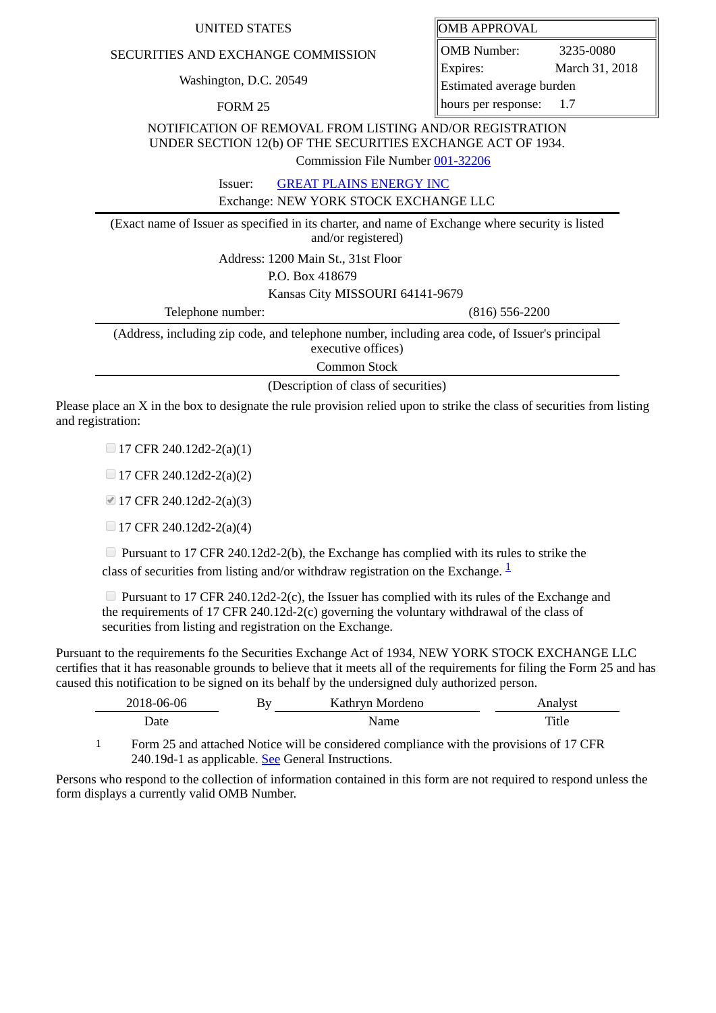## UNITED STATES **OMB** APPROVAL

## SECURITIES AND EXCHANGE COMMISSION

Washington, D.C. 20549

FORM 25

OMB Number: 3235-0080 Expires: March 31, 2018 Estimated average burden hours per response: 1.7

NOTIFICATION OF REMOVAL FROM LISTING AND/OR REGISTRATION UNDER SECTION 12(b) OF THE SECURITIES EXCHANGE ACT OF 1934.

Commission File Number [001-32206](file:///cgi-bin/browse-edgar?action=getcompany&filenum=001-32206)

Issuer: [GREAT PLAINS ENERGY INC](http://www.sec.gov/cgi-bin/browse-edgar?action=getcompany&CIK=1143068)

Exchange: NEW YORK STOCK EXCHANGE LLC

(Exact name of Issuer as specified in its charter, and name of Exchange where security is listed and/or registered)

Address: 1200 Main St., 31st Floor

P.O. Box 418679

Kansas City MISSOURI 64141-9679

Telephone number: (816) 556-2200

(Address, including zip code, and telephone number, including area code, of Issuer's principal executive offices)

Common Stock

(Description of class of securities)

Please place an X in the box to designate the rule provision relied upon to strike the class of securities from listing and registration:

 $\Box$  17 CFR 240.12d2-2(a)(1)

 $\Box$  17 CFR 240.12d2-2(a)(2)

■ 17 CFR 240.12d2-2(a)(3)

 $\Box$  17 CFR 240.12d2-2(a)(4)

Pursuant to 17 CFR 240.12d2-2(b), the Exchange has complied with its rules to strike the class of securities from listing and/or withdraw registration on the Exchange.  $\frac{1}{2}$  $\frac{1}{2}$  $\frac{1}{2}$ 

**Pursuant to 17 CFR 240.12d2-2(c), the Issuer has complied with its rules of the Exchange and** the requirements of 17 CFR 240.12d-2(c) governing the voluntary withdrawal of the class of securities from listing and registration on the Exchange.

Pursuant to the requirements fo the Securities Exchange Act of 1934, NEW YORK STOCK EXCHANGE LLC certifies that it has reasonable grounds to believe that it meets all of the requirements for filing the Form 25 and has caused this notification to be signed on its behalf by the undersigned duly authorized person.

| 2018-06-06                             | Bv | Kathryn Mordeno             | Analyst                                 |
|----------------------------------------|----|-----------------------------|-----------------------------------------|
| Date                                   |    | Name                        | Title                                   |
| $\overline{\phantom{0}}$<br>$\sim$ $-$ | .  | .<br>$\cdot$ $\cdot$<br>. . | .<br>$\sim$ $\sim$ $\sim$ $\sim$ $\sim$ |

<span id="page-0-0"></span>1 Form 25 and attached Notice will be considered compliance with the provisions of 17 CFR 240.19d-1 as applicable. See General Instructions.

Persons who respond to the collection of information contained in this form are not required to respond unless the form displays a currently valid OMB Number.